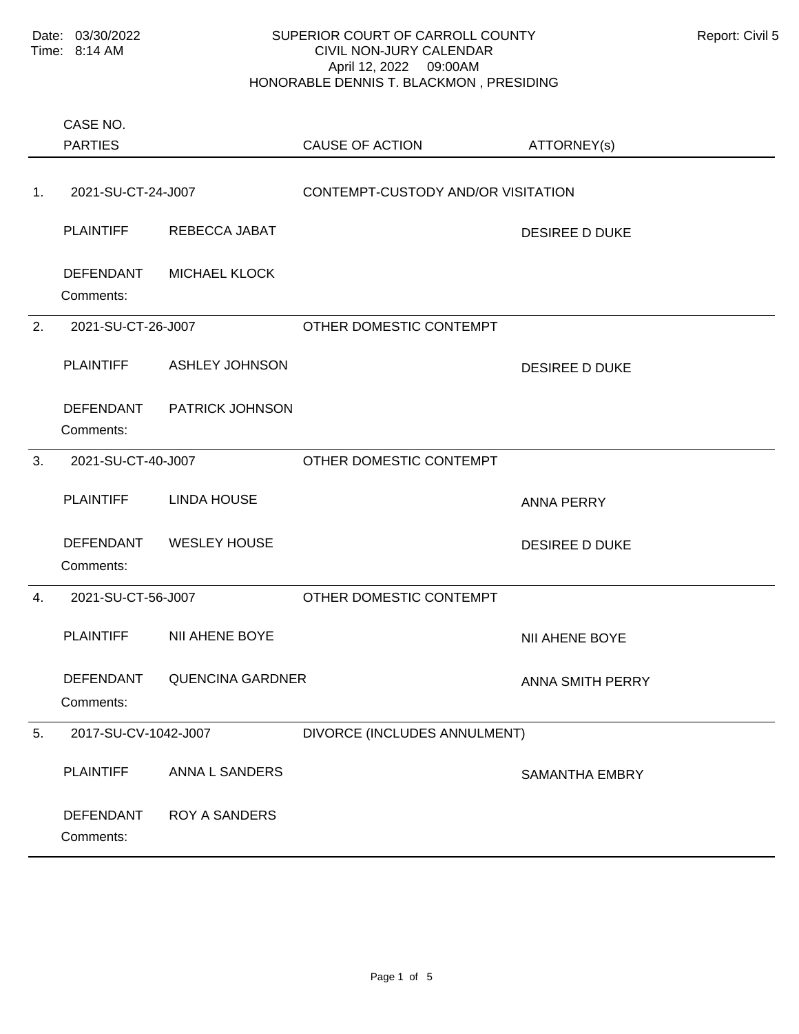Comments: PLAINTIFF REBECCA JABAT DESIREE D DUKE DEFENDANT MICHAEL KLOCK 1. 2021-SU-CT-24-J007 CONTEMPT-CUSTODY AND/OR VISITATION Comments: PLAINTIFF ASHLEY JOHNSON DESIREE D DUKE DEFENDANT PATRICK JOHNSON 2. 2021-SU-CT-26-J007 OTHER DOMESTIC CONTEMPT Comments: PLAINTIFF LINDA HOUSE ANNA PERRY DEFENDANT WESLEY HOUSE DESIREE D DUKE 3. 2021-SU-CT-40-J007 OTHER DOMESTIC CONTEMPT Comments: PLAINTIFF NII AHENE BOYE NII AHENE BOYE DEFENDANT QUENCINA GARDNER ANNA SMITH PERRY 4. 2021-SU-CT-56-J007 OTHER DOMESTIC CONTEMPT Comments: PLAINTIFF ANNA L SANDERS SAMANTHA EMBRY DEFENDANT ROY A SANDERS 5. 2017-SU-CV-1042-J007 DIVORCE (INCLUDES ANNULMENT) PARTIES CASE NO. CAUSE OF ACTION ATTORNEY(s)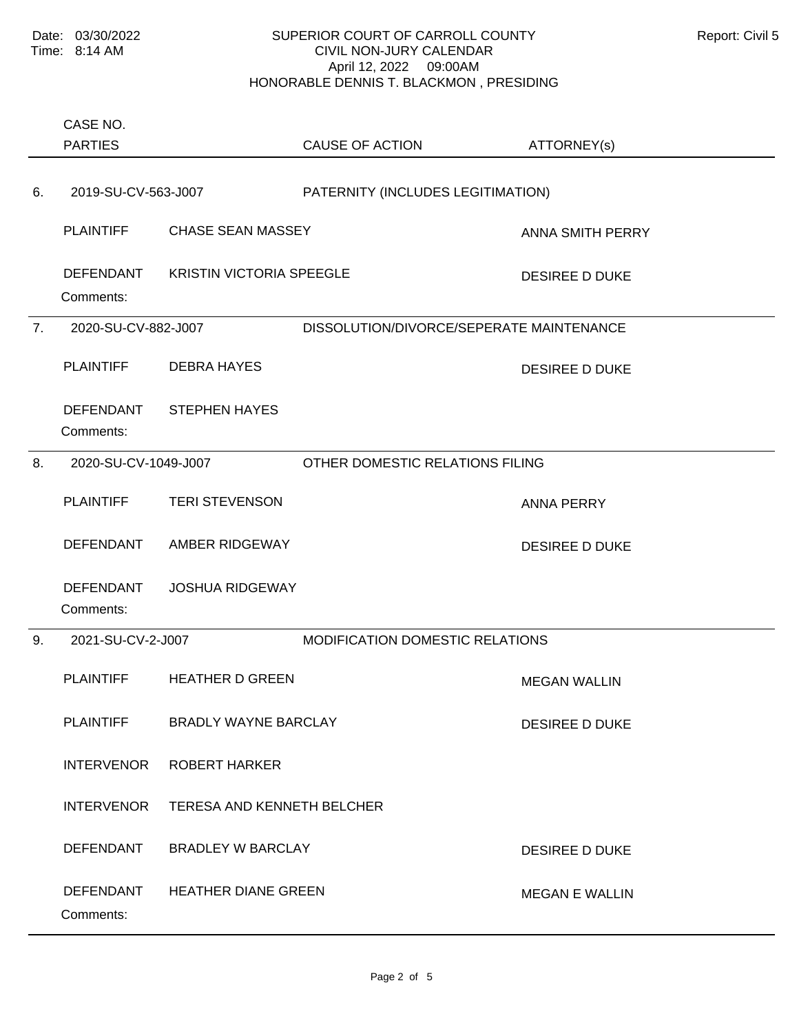Comments: PLAINTIFF CHASE SEAN MASSEY CHASE CHASE SEAN MASSEY DEFENDANT KRISTIN VICTORIA SPEEGLE DESIREE D DUKE 6. 2019-SU-CV-563-J007 PATERNITY (INCLUDES LEGITIMATION) Comments: PLAINTIFF DEBRA HAYES DESIREE D DUKE DEFENDANT STEPHEN HAYES 7. 2020-SU-CV-882-J007 DISSOLUTION/DIVORCE/SEPERATE MAINTENANCE Comments: PLAINTIFF TERI STEVENSON ANNA PERRY DEFENDANT AMBER RIDGEWAY DESIREE D DUKE DEFENDANT JOSHUA RIDGEWAY 8. 2020-SU-CV-1049-J007 OTHER DOMESTIC RELATIONS FILING Comments: PLAINTIFF HEATHER D GREEN MEGAN WALLIN PLAINTIFF BRADLY WAYNE BARCLAY DESIREE D DUKE INTERVENOR ROBERT HARKER INTERVENOR TERESA AND KENNETH BELCHER DEFENDANT BRADLEY W BARCLAY DESIREE D DUKE DEFENDANT HEATHER DIANE GREEN MEGAN F WALLIN 9. 2021-SU-CV-2-J007 MODIFICATION DOMESTIC RELATIONS PARTIES CASE NO. CAUSE OF ACTION ATTORNEY(s)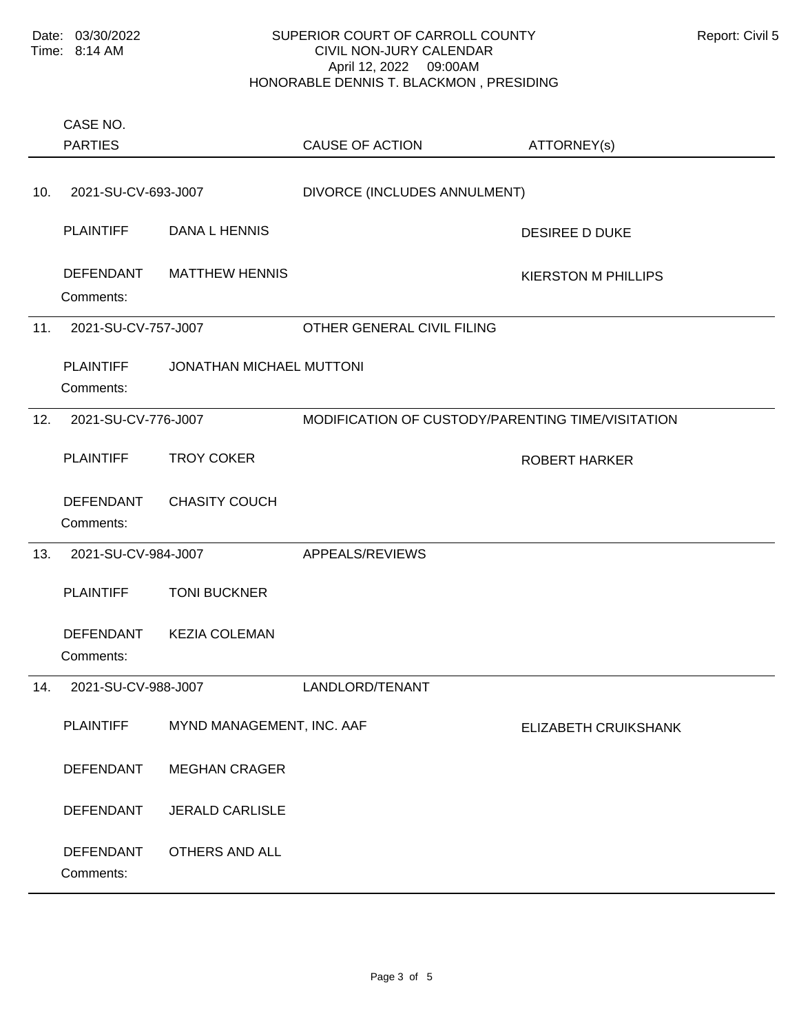Comments: PLAINTIFF DANA L HENNIS DESIREE D DUKE DEFENDANT MATTHEW HENNIS NEWSLEY AND RESERVENT MUST CONSIDER A MILLIPS 10. 2021-SU-CV-693-J007 DIVORCE (INCLUDES ANNULMENT) Comments: PLAINTIFF JONATHAN MICHAEL MUTTONI 11. 2021-SU-CV-757-J007 OTHER GENERAL CIVIL FILING Comments: PLAINTIFF TROY COKER THARKER ROBERT HARKER DEFENDANT CHASITY COUCH 12. 2021-SU-CV-776-J007 MODIFICATION OF CUSTODY/PARENTING TIME/VISITATION Comments: PLAINTIFF TONI BUCKNER DEFENDANT KEZIA COLEMAN 13. 2021-SU-CV-984-J007 APPEALS/REVIEWS Comments: PLAINTIFF MYND MANAGEMENT, INC. AAF ELIZABETH CRUIKSHANK DEFENDANT MEGHAN CRAGER DEFENDANT JERALD CARLISLE DEFENDANT OTHERS AND ALL 14. 2021-SU-CV-988-J007 LANDLORD/TENANT PARTIES CASE NO. CAUSE OF ACTION ATTORNEY(s)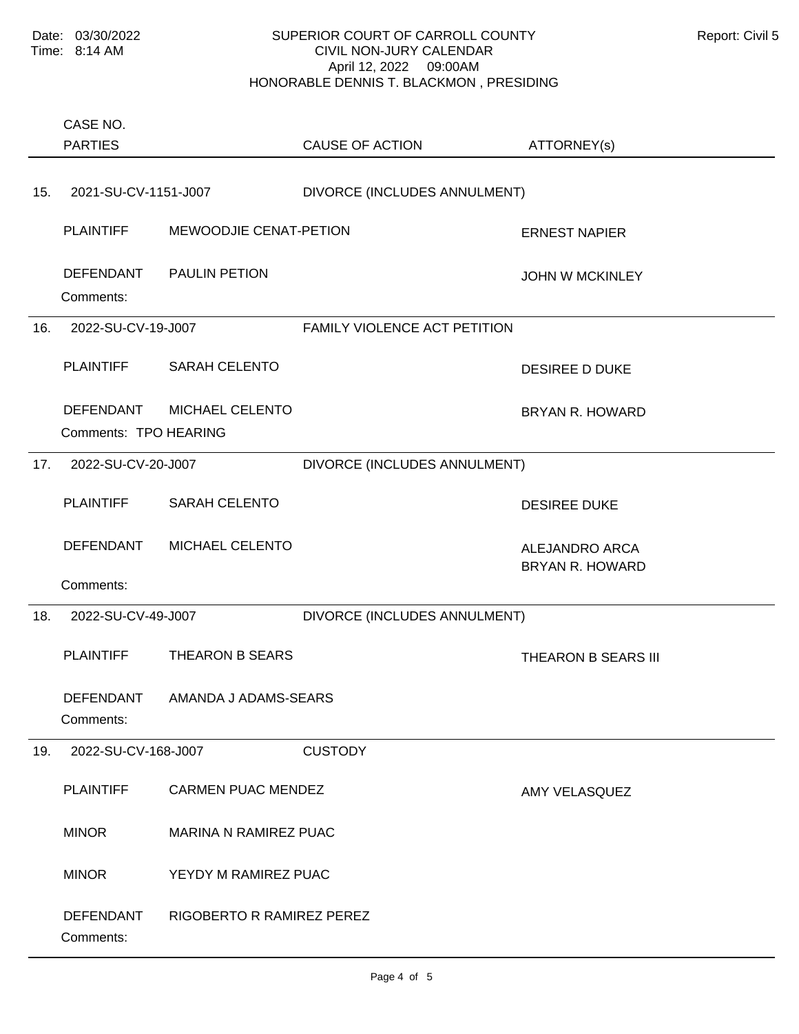|     | CASE NO.                                  |                              |                              |                                                 |
|-----|-------------------------------------------|------------------------------|------------------------------|-------------------------------------------------|
|     | <b>PARTIES</b>                            |                              | <b>CAUSE OF ACTION</b>       | ATTORNEY(s)                                     |
| 15. | 2021-SU-CV-1151-J007                      |                              | DIVORCE (INCLUDES ANNULMENT) |                                                 |
|     | <b>PLAINTIFF</b>                          | MEWOODJIE CENAT-PETION       |                              | <b>ERNEST NAPIER</b>                            |
|     | DEFENDANT<br>Comments:                    | <b>PAULIN PETION</b>         |                              | <b>JOHN W MCKINLEY</b>                          |
| 16. | 2022-SU-CV-19-J007                        |                              | FAMILY VIOLENCE ACT PETITION |                                                 |
|     | <b>PLAINTIFF</b>                          | <b>SARAH CELENTO</b>         |                              | <b>DESIREE D DUKE</b>                           |
|     | <b>DEFENDANT</b><br>Comments: TPO HEARING | MICHAEL CELENTO              |                              | <b>BRYAN R. HOWARD</b>                          |
| 17. | 2022-SU-CV-20-J007                        |                              | DIVORCE (INCLUDES ANNULMENT) |                                                 |
|     | <b>PLAINTIFF</b>                          | <b>SARAH CELENTO</b>         |                              | <b>DESIREE DUKE</b>                             |
|     | <b>DEFENDANT</b>                          | MICHAEL CELENTO              |                              | <b>ALEJANDRO ARCA</b><br><b>BRYAN R. HOWARD</b> |
|     | Comments:                                 |                              |                              |                                                 |
| 18. | 2022-SU-CV-49-J007                        |                              | DIVORCE (INCLUDES ANNULMENT) |                                                 |
|     | <b>PLAINTIFF</b>                          | THEARON B SEARS              |                              | THEARON B SEARS III                             |
|     | DEFENDANT<br>Comments:                    | AMANDA J ADAMS-SEARS         |                              |                                                 |
| 19. | 2022-SU-CV-168-J007                       |                              | <b>CUSTODY</b>               |                                                 |
|     | <b>PLAINTIFF</b>                          | <b>CARMEN PUAC MENDEZ</b>    |                              | AMY VELASQUEZ                                   |
|     | <b>MINOR</b>                              | <b>MARINA N RAMIREZ PUAC</b> |                              |                                                 |
|     | <b>MINOR</b>                              | YEYDY M RAMIREZ PUAC         |                              |                                                 |
|     | <b>DEFENDANT</b><br>Comments:             | RIGOBERTO R RAMIREZ PEREZ    |                              |                                                 |